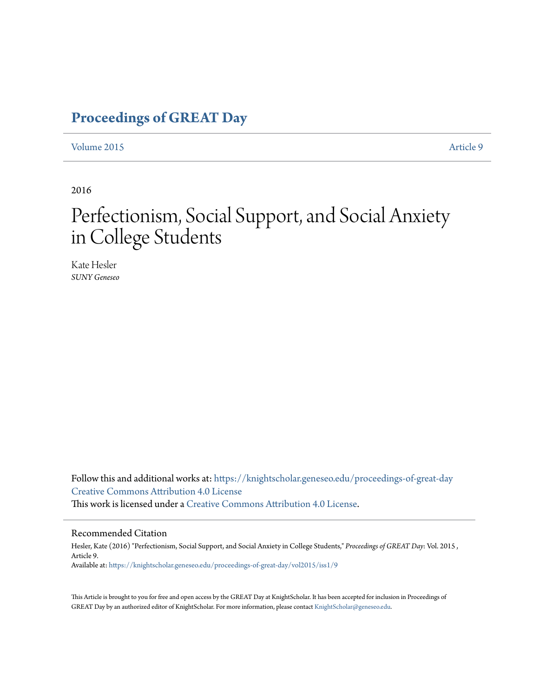### **[Proceedings of GREAT Day](https://knightscholar.geneseo.edu/proceedings-of-great-day?utm_source=knightscholar.geneseo.edu%2Fproceedings-of-great-day%2Fvol2015%2Fiss1%2F9&utm_medium=PDF&utm_campaign=PDFCoverPages)**

[Volume 2015](https://knightscholar.geneseo.edu/proceedings-of-great-day/vol2015?utm_source=knightscholar.geneseo.edu%2Fproceedings-of-great-day%2Fvol2015%2Fiss1%2F9&utm_medium=PDF&utm_campaign=PDFCoverPages) **[Article 9](https://knightscholar.geneseo.edu/proceedings-of-great-day/vol2015/iss1/9?utm_source=knightscholar.geneseo.edu%2Fproceedings-of-great-day%2Fvol2015%2Fiss1%2F9&utm_medium=PDF&utm_campaign=PDFCoverPages)** 

2016

## Perfectionism, Social Support, and Social Anxiety in College Students

Kate Hesler *SUNY Geneseo*

Follow this and additional works at: [https://knightscholar.geneseo.edu/proceedings-of-great-day](https://knightscholar.geneseo.edu/proceedings-of-great-day?utm_source=knightscholar.geneseo.edu%2Fproceedings-of-great-day%2Fvol2015%2Fiss1%2F9&utm_medium=PDF&utm_campaign=PDFCoverPages) [Creative Commons Attribution 4.0 License](http://creativecommons.org/licenses/by/4.0/) This work is licensed under a [Creative Commons Attribution 4.0 License.](http://creativecommons.org/licenses/by/4.0/)

#### Recommended Citation

Hesler, Kate (2016) "Perfectionism, Social Support, and Social Anxiety in College Students," *Proceedings of GREAT Day*: Vol. 2015 , Article 9. Available at: [https://knightscholar.geneseo.edu/proceedings-of-great-day/vol2015/iss1/9](https://knightscholar.geneseo.edu/proceedings-of-great-day/vol2015/iss1/9?utm_source=knightscholar.geneseo.edu%2Fproceedings-of-great-day%2Fvol2015%2Fiss1%2F9&utm_medium=PDF&utm_campaign=PDFCoverPages)

This Article is brought to you for free and open access by the GREAT Day at KnightScholar. It has been accepted for inclusion in Proceedings of GREAT Day by an authorized editor of KnightScholar. For more information, please contact [KnightScholar@geneseo.edu.](mailto:KnightScholar@geneseo.edu)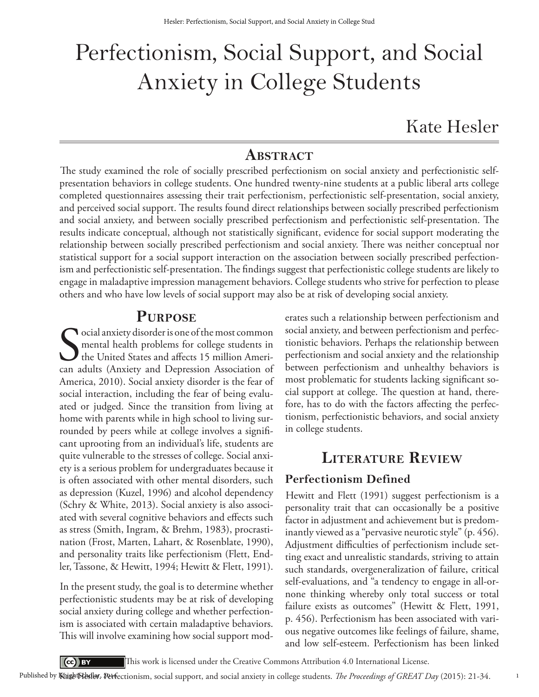# Perfectionism, Social Support, and Social Anxiety in College Students

Kate Hesler

#### **ABstRAct**

The study examined the role of socially prescribed perfectionism on social anxiety and perfectionistic selfpresentation behaviors in college students. One hundred twenty-nine students at a public liberal arts college completed questionnaires assessing their trait perfectionism, perfectionistic self-presentation, social anxiety, and perceived social support. The results found direct relationships between socially prescribed perfectionism and social anxiety, and between socially prescribed perfectionism and perfectionistic self-presentation. The results indicate conceptual, although not statistically significant, evidence for social support moderating the relationship between socially prescribed perfectionism and social anxiety. There was neither conceptual nor statistical support for a social support interaction on the association between socially prescribed perfectionism and perfectionistic self-presentation. The findings suggest that perfectionistic college students are likely to engage in maladaptive impression management behaviors. College students who strive for perfection to please others and who have low levels of social support may also be at risk of developing social anxiety.

#### **puRpose**

Social anxiety disorder is one of the most common<br>
mental health problems for college students in<br>
the United States and affects 15 million Ameri-<br>
can adults (Anxiety and Depression Association of ocial anxiety disorder is one of the most common mental health problems for college students in The United States and affects 15 million Ameri-America, 2010). Social anxiety disorder is the fear of social interaction, including the fear of being evaluated or judged. Since the transition from living at home with parents while in high school to living surrounded by peers while at college involves a significant uprooting from an individual's life, students are quite vulnerable to the stresses of college. Social anxiety is a serious problem for undergraduates because it is often associated with other mental disorders, such as depression (Kuzel, 1996) and alcohol dependency (Schry & White, 2013). Social anxiety is also associated with several cognitive behaviors and effects such as stress (Smith, Ingram, & Brehm, 1983), procrastination (Frost, Marten, Lahart, & Rosenblate, 1990), and personality traits like perfectionism (Flett, Endler, Tassone, & Hewitt, 1994; Hewitt & Flett, 1991).

In the present study, the goal is to determine whether perfectionistic students may be at risk of developing social anxiety during college and whether perfectionism is associated with certain maladaptive behaviors. This will involve examining how social support moderates such a relationship between perfectionism and social anxiety, and between perfectionism and perfectionistic behaviors. Perhaps the relationship between perfectionism and social anxiety and the relationship between perfectionism and unhealthy behaviors is most problematic for students lacking significant social support at college. The question at hand, therefore, has to do with the factors affecting the perfectionism, perfectionistic behaviors, and social anxiety in college students.

#### **liteRAtuRe ReVieW**

#### **Perfectionism Defined**

Hewitt and Flett (1991) suggest perfectionism is a personality trait that can occasionally be a positive factor in adjustment and achievement but is predominantly viewed as a "pervasive neurotic style" (p. 456). Adjustment difficulties of perfectionism include setting exact and unrealistic standards, striving to attain such standards, overgeneralization of failure, critical self-evaluations, and "a tendency to engage in all-ornone thinking whereby only total success or total failure exists as outcomes" (Hewitt & Flett, 1991, p. 456). Perfectionism has been associated with various negative outcomes like feelings of failure, shame, and low self-esteem. Perfectionism has been linked

1

 $\left($ cc  $\right)$  BY This work is licensed under the Creative Commons Attribution 4.0 International License.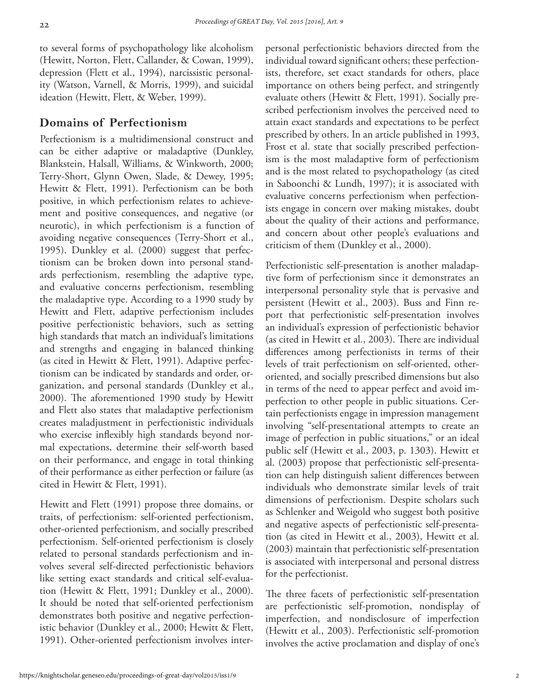to several forms of psychopathology like alcoholism (Hewitt, Norton, Flett, Callander, & Cowan, 1999), depression (Flett et al., 1994), narcissistic personality (Watson, Varnell, & Morris, 1999), and suicidal ideation (Hewitt, Flett, & Weber, 1999).

#### **Domains of Perfectionism**

Perfectionism is a multidimensional construct and can be either adaptive or maladaptive (Dunkley, Blankstein, Halsall, Williams, & Winkworth, 2000; Terry-Short, Glynn Owen, Slade, & Dewey, 1995; Hewitt & Flett, 1991). Perfectionism can be both positive, in which perfectionism relates to achievement and positive consequences, and negative (or neurotic), in which perfectionism is a function of avoiding negative consequences (Terry-Short et al., 1995). Dunkley et al. (2000) suggest that perfectionism can be broken down into personal standards perfectionism, resembling the adaptive type, and evaluative concerns perfectionism, resembling the maladaptive type. According to a 1990 study by Hewitt and Flett, adaptive perfectionism includes positive perfectionistic behaviors, such as setting high standards that match an individual's limitations and strengths and engaging in balanced thinking (as cited in Hewitt & Flett, 1991). Adaptive perfectionism can be indicated by standards and order, organization, and personal standards (Dunkley et al., 2000). The aforementioned 1990 study by Hewitt and Flett also states that maladaptive perfectionism creates maladjustment in perfectionistic individuals who exercise inflexibly high standards beyond normal expectations, determine their self-worth based on their performance, and engage in total thinking of their performance as either perfection or failure (as cited in Hewitt & Flett, 1991).

Hewitt and Flett (1991) propose three domains, or traits, of perfectionism: self-oriented perfectionism, other-oriented perfectionism, and socially prescribed perfectionism. Self-oriented perfectionism is closely related to personal standards perfectionism and involves several self-directed perfectionistic behaviors like setting exact standards and critical self-evaluation (Hewitt & Flett, 1991; Dunkley et al., 2000). It should be noted that self-oriented perfectionism demonstrates both positive and negative perfectionistic behavior (Dunkley et al., 2000; Hewitt & Flett, 1991). Other-oriented perfectionism involves interpersonal perfectionistic behaviors directed from the individual toward significant others; these perfectionists, therefore, set exact standards for others, place importance on others being perfect, and stringently evaluate others (Hewitt & Flett, 1991). Socially prescribed perfectionism involves the perceived need to attain exact standards and expectations to be perfect prescribed by others. In an article published in 1993, Frost et al. state that socially prescribed perfectionism is the most maladaptive form of perfectionism and is the most related to psychopathology (as cited in Saboonchi & Lundh, 1997); it is associated with evaluative concerns perfectionism when perfectionists engage in concern over making mistakes, doubt about the quality of their actions and performance, and concern about other people's evaluations and criticism of them (Dunkley et al., 2000).

Perfectionistic self-presentation is another maladaptive form of perfectionism since it demonstrates an interpersonal personality style that is pervasive and persistent (Hewitt et al., 2003). Buss and Finn report that perfectionistic self-presentation involves an individual's expression of perfectionistic behavior (as cited in Hewitt et al., 2003). There are individual differences among perfectionists in terms of their levels of trait perfectionism on self-oriented, otheroriented, and socially prescribed dimensions but also in terms of the need to appear perfect and avoid imperfection to other people in public situations. Certain perfectionists engage in impression management involving "self-presentational attempts to create an image of perfection in public situations," or an ideal public self (Hewitt et al., 2003, p. 1303). Hewitt et al. (2003) propose that perfectionistic self-presentation can help distinguish salient differences between individuals who demonstrate similar levels of trait dimensions of perfectionism. Despite scholars such as Schlenker and Weigold who suggest both positive and negative aspects of perfectionistic self-presentation (as cited in Hewitt et al., 2003), Hewitt et al. (2003) maintain that perfectionistic self-presentation is associated with interpersonal and personal distress for the perfectionist.

The three facets of perfectionistic self-presentation are perfectionistic self-promotion, nondisplay of imperfection, and nondisclosure of imperfection (Hewitt et al., 2003). Perfectionistic self-promotion involves the active proclamation and display of one's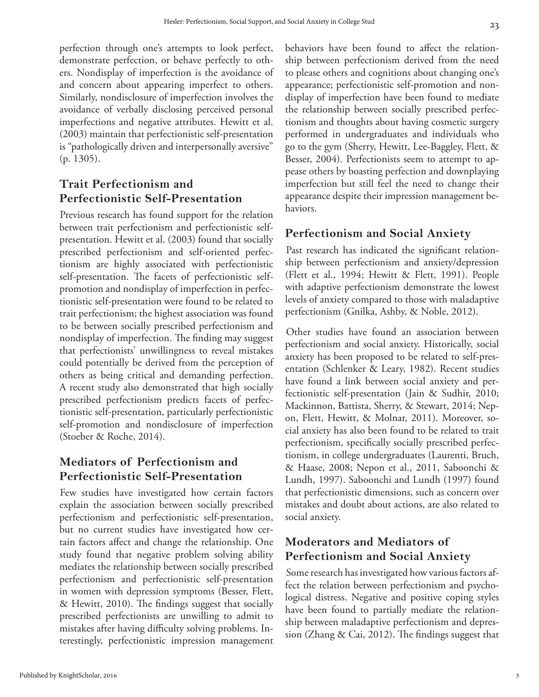perfection through one's attempts to look perfect, demonstrate perfection, or behave perfectly to others. Nondisplay of imperfection is the avoidance of and concern about appearing imperfect to others. Similarly, nondisclosure of imperfection involves the avoidance of verbally disclosing perceived personal imperfections and negative attributes. Hewitt et al. (2003) maintain that perfectionistic self-presentation is "pathologically driven and interpersonally aversive" (p. 1305).

#### **Trait Perfectionism and Perfectionistic Self-Presentation**

Previous research has found support for the relation between trait perfectionism and perfectionistic selfpresentation. Hewitt et al. (2003) found that socially prescribed perfectionism and self-oriented perfectionism are highly associated with perfectionistic self-presentation. The facets of perfectionistic selfpromotion and nondisplay of imperfection in perfectionistic self-presentation were found to be related to trait perfectionism; the highest association was found to be between socially prescribed perfectionism and nondisplay of imperfection. The finding may suggest that perfectionists' unwillingness to reveal mistakes could potentially be derived from the perception of others as being critical and demanding perfection. A recent study also demonstrated that high socially prescribed perfectionism predicts facets of perfectionistic self-presentation, particularly perfectionistic self-promotion and nondisclosure of imperfection (Stoeber & Roche, 2014).

#### **Mediators of Perfectionism and Perfectionistic Self-Presentation**

Few studies have investigated how certain factors explain the association between socially prescribed perfectionism and perfectionistic self-presentation, but no current studies have investigated how certain factors affect and change the relationship. One study found that negative problem solving ability mediates the relationship between socially prescribed perfectionism and perfectionistic self-presentation in women with depression symptoms (Besser, Flett, & Hewitt, 2010). The findings suggest that socially prescribed perfectionists are unwilling to admit to mistakes after having difficulty solving problems. Interestingly, perfectionistic impression management

behaviors have been found to affect the relationship between perfectionism derived from the need to please others and cognitions about changing one's appearance; perfectionistic self-promotion and nondisplay of imperfection have been found to mediate the relationship between socially prescribed perfectionism and thoughts about having cosmetic surgery performed in undergraduates and individuals who go to the gym (Sherry, Hewitt, Lee-Baggley, Flett, & Besser, 2004). Perfectionists seem to attempt to appease others by boasting perfection and downplaying imperfection but still feel the need to change their appearance despite their impression management behaviors.

#### **Perfectionism and Social Anxiety**

Past research has indicated the significant relationship between perfectionism and anxiety/depression (Flett et al., 1994; Hewitt & Flett, 1991). People with adaptive perfectionism demonstrate the lowest levels of anxiety compared to those with maladaptive perfectionism (Gnilka, Ashby, & Noble, 2012).

Other studies have found an association between perfectionism and social anxiety. Historically, social anxiety has been proposed to be related to self-presentation (Schlenker & Leary, 1982). Recent studies have found a link between social anxiety and perfectionistic self-presentation (Jain & Sudhir, 2010; Mackinnon, Battista, Sherry, & Stewart, 2014; Nepon, Flett, Hewitt, & Molnar, 2011). Moreover, social anxiety has also been found to be related to trait perfectionism, specifically socially prescribed perfectionism, in college undergraduates (Laurenti, Bruch, & Haase, 2008; Nepon et al., 2011, Saboonchi & Lundh, 1997). Saboonchi and Lundh (1997) found that perfectionistic dimensions, such as concern over mistakes and doubt about actions, are also related to social anxiety.

#### **Moderators and Mediators of Perfectionism and Social Anxiety**

Some research has investigated how various factors affect the relation between perfectionism and psychological distress. Negative and positive coping styles have been found to partially mediate the relationship between maladaptive perfectionism and depression (Zhang & Cai, 2012). The findings suggest that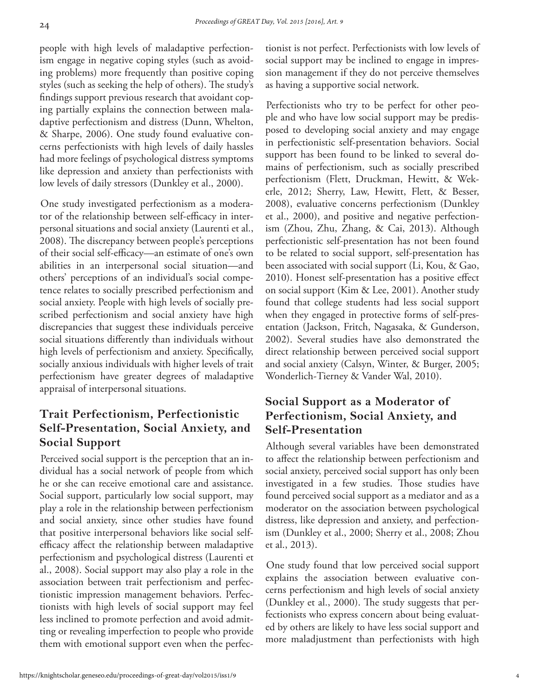people with high levels of maladaptive perfectionism engage in negative coping styles (such as avoiding problems) more frequently than positive coping styles (such as seeking the help of others). The study's findings support previous research that avoidant coping partially explains the connection between maladaptive perfectionism and distress (Dunn, Whelton, & Sharpe, 2006). One study found evaluative concerns perfectionists with high levels of daily hassles had more feelings of psychological distress symptoms like depression and anxiety than perfectionists with low levels of daily stressors (Dunkley et al., 2000).

One study investigated perfectionism as a moderator of the relationship between self-efficacy in interpersonal situations and social anxiety (Laurenti et al., 2008). The discrepancy between people's perceptions of their social self-efficacy—an estimate of one's own abilities in an interpersonal social situation—and others' perceptions of an individual's social competence relates to socially prescribed perfectionism and social anxiety. People with high levels of socially prescribed perfectionism and social anxiety have high discrepancies that suggest these individuals perceive social situations differently than individuals without high levels of perfectionism and anxiety. Specifically, socially anxious individuals with higher levels of trait perfectionism have greater degrees of maladaptive appraisal of interpersonal situations.

#### **Trait Perfectionism, Perfectionistic Self-Presentation, Social Anxiety, and Social Support**

Perceived social support is the perception that an individual has a social network of people from which he or she can receive emotional care and assistance. Social support, particularly low social support, may play a role in the relationship between perfectionism and social anxiety, since other studies have found that positive interpersonal behaviors like social selfefficacy affect the relationship between maladaptive perfectionism and psychological distress (Laurenti et al., 2008). Social support may also play a role in the association between trait perfectionism and perfectionistic impression management behaviors. Perfectionists with high levels of social support may feel less inclined to promote perfection and avoid admitting or revealing imperfection to people who provide them with emotional support even when the perfectionist is not perfect. Perfectionists with low levels of social support may be inclined to engage in impression management if they do not perceive themselves as having a supportive social network.

Perfectionists who try to be perfect for other people and who have low social support may be predisposed to developing social anxiety and may engage in perfectionistic self-presentation behaviors. Social support has been found to be linked to several domains of perfectionism, such as socially prescribed perfectionism (Flett, Druckman, Hewitt, & Wekerle, 2012; Sherry, Law, Hewitt, Flett, & Besser, 2008), evaluative concerns perfectionism (Dunkley et al., 2000), and positive and negative perfectionism (Zhou, Zhu, Zhang, & Cai, 2013). Although perfectionistic self-presentation has not been found to be related to social support, self-presentation has been associated with social support (Li, Kou, & Gao, 2010). Honest self-presentation has a positive effect on social support (Kim & Lee, 2001). Another study found that college students had less social support when they engaged in protective forms of self-presentation (Jackson, Fritch, Nagasaka, & Gunderson, 2002). Several studies have also demonstrated the direct relationship between perceived social support and social anxiety (Calsyn, Winter, & Burger, 2005; Wonderlich-Tierney & Vander Wal, 2010).

#### **Social Support as a Moderator of Perfectionism, Social Anxiety, and Self-Presentation**

Although several variables have been demonstrated to affect the relationship between perfectionism and social anxiety, perceived social support has only been investigated in a few studies. Those studies have found perceived social support as a mediator and as a moderator on the association between psychological distress, like depression and anxiety, and perfectionism (Dunkley et al., 2000; Sherry et al., 2008; Zhou et al., 2013).

One study found that low perceived social support explains the association between evaluative concerns perfectionism and high levels of social anxiety (Dunkley et al., 2000). The study suggests that perfectionists who express concern about being evaluated by others are likely to have less social support and more maladjustment than perfectionists with high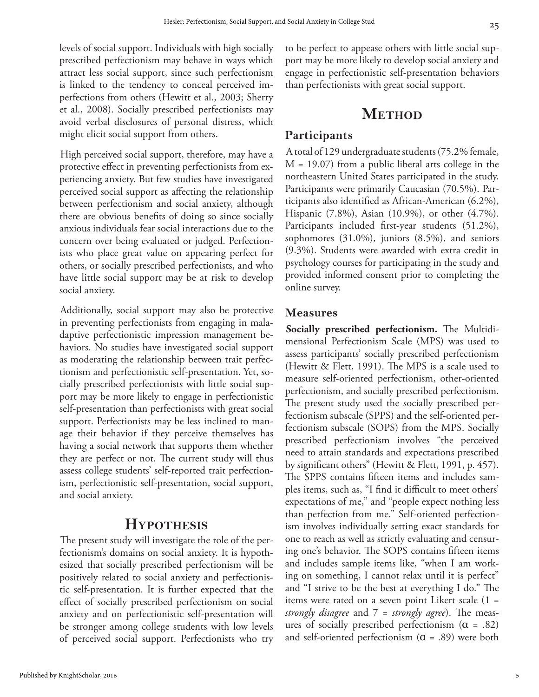levels of social support. Individuals with high socially prescribed perfectionism may behave in ways which attract less social support, since such perfectionism is linked to the tendency to conceal perceived imperfections from others (Hewitt et al., 2003; Sherry et al., 2008). Socially prescribed perfectionists may avoid verbal disclosures of personal distress, which might elicit social support from others.

High perceived social support, therefore, may have a protective effect in preventing perfectionists from experiencing anxiety. But few studies have investigated perceived social support as affecting the relationship between perfectionism and social anxiety, although there are obvious benefits of doing so since socially anxious individuals fear social interactions due to the concern over being evaluated or judged. Perfectionists who place great value on appearing perfect for others, or socially prescribed perfectionists, and who have little social support may be at risk to develop social anxiety.

Additionally, social support may also be protective in preventing perfectionists from engaging in maladaptive perfectionistic impression management behaviors. No studies have investigated social support as moderating the relationship between trait perfectionism and perfectionistic self-presentation. Yet, socially prescribed perfectionists with little social support may be more likely to engage in perfectionistic self-presentation than perfectionists with great social support. Perfectionists may be less inclined to manage their behavior if they perceive themselves has having a social network that supports them whether they are perfect or not. The current study will thus assess college students' self-reported trait perfectionism, perfectionistic self-presentation, social support, and social anxiety.

#### **Hypothesis**

The present study will investigate the role of the perfectionism's domains on social anxiety. It is hypothesized that socially prescribed perfectionism will be positively related to social anxiety and perfectionistic self-presentation. It is further expected that the effect of socially prescribed perfectionism on social anxiety and on perfectionistic self-presentation will be stronger among college students with low levels of perceived social support. Perfectionists who try to be perfect to appease others with little social support may be more likely to develop social anxiety and engage in perfectionistic self-presentation behaviors than perfectionists with great social support.

#### **METHOD**

#### **Participants**

A total of 129 undergraduate students (75.2% female,  $M = 19.07$ ) from a public liberal arts college in the northeastern United States participated in the study. Participants were primarily Caucasian (70.5%). Participants also identified as African-American (6.2%), Hispanic (7.8%), Asian (10.9%), or other (4.7%). Participants included first-year students (51.2%), sophomores (31.0%), juniors (8.5%), and seniors (9.3%). Students were awarded with extra credit in psychology courses for participating in the study and provided informed consent prior to completing the online survey.

#### **Measures**

**Socially prescribed perfectionism.** The Multidimensional Perfectionism Scale (MPS) was used to assess participants' socially prescribed perfectionism (Hewitt & Flett, 1991). The MPS is a scale used to measure self-oriented perfectionism, other-oriented perfectionism, and socially prescribed perfectionism. The present study used the socially prescribed perfectionism subscale (SPPS) and the self-oriented perfectionism subscale (SOPS) from the MPS. Socially prescribed perfectionism involves "the perceived need to attain standards and expectations prescribed by significant others" (Hewitt & Flett, 1991, p. 457). The SPPS contains fifteen items and includes samples items, such as, "I find it difficult to meet others' expectations of me," and "people expect nothing less than perfection from me." Self-oriented perfectionism involves individually setting exact standards for one to reach as well as strictly evaluating and censuring one's behavior. The SOPS contains fifteen items and includes sample items like, "when I am working on something, I cannot relax until it is perfect" and "I strive to be the best at everything I do." The items were rated on a seven point Likert scale (1 = *strongly disagree* and 7 = *strongly agree*). The measures of socially prescribed perfectionism  $(\alpha = .82)$ and self-oriented perfectionism  $(\alpha = .89)$  were both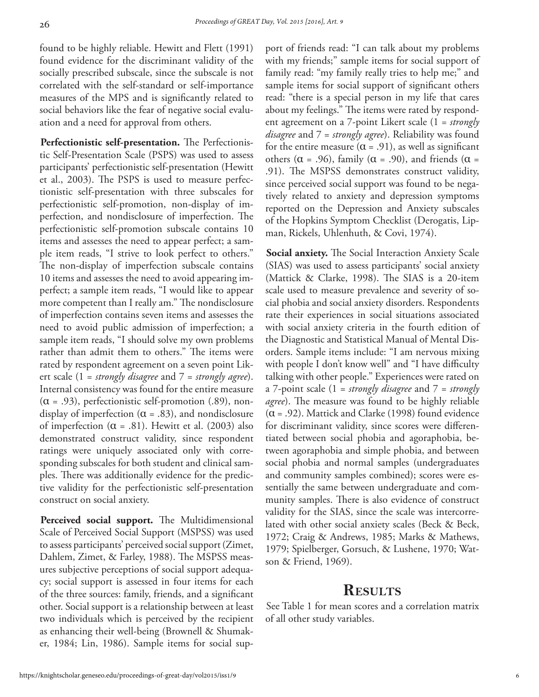found to be highly reliable. Hewitt and Flett (1991) found evidence for the discriminant validity of the socially prescribed subscale, since the subscale is not correlated with the self-standard or self-importance measures of the MPS and is significantly related to social behaviors like the fear of negative social evaluation and a need for approval from others.

**Perfectionistic self-presentation.** The Perfectionistic Self-Presentation Scale (PSPS) was used to assess participants' perfectionistic self-presentation (Hewitt et al., 2003). The PSPS is used to measure perfectionistic self-presentation with three subscales for perfectionistic self-promotion, non-display of imperfection, and nondisclosure of imperfection. The perfectionistic self-promotion subscale contains 10 items and assesses the need to appear perfect; a sample item reads, "I strive to look perfect to others." The non-display of imperfection subscale contains 10 items and assesses the need to avoid appearing imperfect; a sample item reads, "I would like to appear more competent than I really am." The nondisclosure of imperfection contains seven items and assesses the need to avoid public admission of imperfection; a sample item reads, "I should solve my own problems rather than admit them to others." The items were rated by respondent agreement on a seven point Likert scale (1 = *strongly disagree* and 7 = *strongly agree*). Internal consistency was found for the entire measure  $(\alpha = .93)$ , perfectionistic self-promotion (.89), nondisplay of imperfection ( $\alpha$  = .83), and nondisclosure of imperfection ( $\alpha$  = .81). Hewitt et al. (2003) also demonstrated construct validity, since respondent ratings were uniquely associated only with corresponding subscales for both student and clinical samples. There was additionally evidence for the predictive validity for the perfectionistic self-presentation construct on social anxiety.

**Perceived social support.** The Multidimensional Scale of Perceived Social Support (MSPSS) was used to assess participants' perceived social support (Zimet, Dahlem, Zimet, & Farley, 1988). The MSPSS measures subjective perceptions of social support adequacy; social support is assessed in four items for each of the three sources: family, friends, and a significant other. Social support is a relationship between at least two individuals which is perceived by the recipient as enhancing their well-being (Brownell & Shumaker, 1984; Lin, 1986). Sample items for social support of friends read: "I can talk about my problems with my friends;" sample items for social support of family read: "my family really tries to help me;" and sample items for social support of significant others read: "there is a special person in my life that cares about my feelings." The items were rated by respondent agreement on a 7-point Likert scale (1 = *strongly disagree* and 7 = *strongly agree*). Reliability was found for the entire measure  $(\alpha = .91)$ , as well as significant others ( $\alpha$  = .96), family ( $\alpha$  = .90), and friends ( $\alpha$  = .91). The MSPSS demonstrates construct validity, since perceived social support was found to be negatively related to anxiety and depression symptoms reported on the Depression and Anxiety subscales of the Hopkins Symptom Checklist (Derogatis, Lipman, Rickels, Uhlenhuth, & Covi, 1974).

**Social anxiety.** The Social Interaction Anxiety Scale (SIAS) was used to assess participants' social anxiety (Mattick & Clarke, 1998). The SIAS is a 20-item scale used to measure prevalence and severity of social phobia and social anxiety disorders. Respondents rate their experiences in social situations associated with social anxiety criteria in the fourth edition of the Diagnostic and Statistical Manual of Mental Disorders. Sample items include: "I am nervous mixing with people I don't know well" and "I have difficulty talking with other people." Experiences were rated on a 7-point scale (1 = *strongly disagree* and 7 = *strongly agree*). The measure was found to be highly reliable  $(\alpha = .92)$ . Mattick and Clarke (1998) found evidence for discriminant validity, since scores were differentiated between social phobia and agoraphobia, between agoraphobia and simple phobia, and between social phobia and normal samples (undergraduates and community samples combined); scores were essentially the same between undergraduate and community samples. There is also evidence of construct validity for the SIAS, since the scale was intercorrelated with other social anxiety scales (Beck & Beck, 1972; Craig & Andrews, 1985; Marks & Mathews, 1979; Spielberger, Gorsuch, & Lushene, 1970; Watson & Friend, 1969).

#### **Results**

See Table 1 for mean scores and a correlation matrix of all other study variables.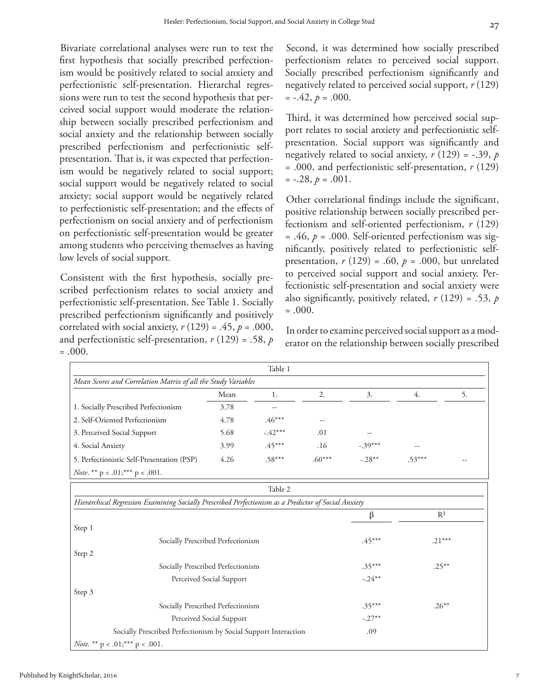Bivariate correlational analyses were run to test the first hypothesis that socially prescribed perfectionism would be positively related to social anxiety and perfectionistic self-presentation. Hierarchal regressions were run to test the second hypothesis that perceived social support would moderate the relationship between socially prescribed perfectionism and social anxiety and the relationship between socially prescribed perfectionism and perfectionistic selfpresentation. That is, it was expected that perfection-

ism would be negatively related to social support; social support would be negatively related to social anxiety; social support would be negatively related to perfectionistic self-presentation; and the effects of perfectionism on social anxiety and of perfectionism on perfectionistic self-presentation would be greater among students who perceiving themselves as having low levels of social support.

Consistent with the first hypothesis, socially prescribed perfectionism relates to social anxiety and perfectionistic self-presentation. See Table 1. Socially prescribed perfectionism significantly and positively correlated with social anxiety,  $r(129) = .45$ ,  $p = .000$ , and perfectionistic self-presentation, *r* (129) = .58, *p*  $=.000.$ 

Second, it was determined how socially prescribed perfectionism relates to perceived social support. Socially prescribed perfectionism significantly and negatively related to perceived social support, *r* (129)  $=-.42, p=.000.$ 

Third, it was determined how perceived social support relates to social anxiety and perfectionistic selfpresentation. Social support was significantly and negatively related to social anxiety, *r* (129) = -.39, *p* = .000, and perfectionistic self-presentation, *r* (129)  $=-.28, p=.001$ .

Other correlational findings include the significant, positive relationship between socially prescribed perfectionism and self-oriented perfectionism, *r* (129) = .46, *p* = .000. Self-oriented perfectionism was significantly, positively related to perfectionistic selfpresentation,  $r(129) = .60$ ,  $p = .000$ , but unrelated to perceived social support and social anxiety. Perfectionistic self-presentation and social anxiety were also significantly, positively related, *r* (129) = .53, *p*  $= .000.$ 

In order to examine perceived social support as a moderator on the relationship between socially prescribed

|                                                                                                      |      | Table 1   |          |           |          |    |  |  |
|------------------------------------------------------------------------------------------------------|------|-----------|----------|-----------|----------|----|--|--|
| Mean Scores and Correlation Matrix of all the Study Variables                                        |      |           |          |           |          |    |  |  |
|                                                                                                      | Mean | 1.        | 2.       | 3.        | 4.       | 5. |  |  |
| 1. Socially Prescribed Perfectionism                                                                 | 3.78 | --        |          |           |          |    |  |  |
| 2. Self-Oriented Perfectionism                                                                       | 4.78 | $.46***$  | --       |           |          |    |  |  |
| 3. Perceived Social Support                                                                          | 5.68 | $-.42***$ | .01      |           |          |    |  |  |
| 4. Social Anxiety                                                                                    | 3.99 | $.45***$  | .16      | $-.39***$ |          |    |  |  |
| 5. Perfectionistic Self-Presentation (PSP)                                                           | 4.26 | $.58***$  | $.60***$ | $-.28**$  | $.53***$ |    |  |  |
| <i>Note</i> . ** $p < .01;$ *** $p < .001$ .                                                         |      |           |          |           |          |    |  |  |
| Table 2                                                                                              |      |           |          |           |          |    |  |  |
| Hierarchical Regression Examining Socially Prescribed Perfectionism as a Predictor of Social Anxiety |      |           |          |           |          |    |  |  |
|                                                                                                      |      |           |          | β         | $R^2$    |    |  |  |
| Step 1                                                                                               |      |           |          |           |          |    |  |  |
| Socially Prescribed Perfectionism                                                                    |      |           |          | $.45***$  | $.21***$ |    |  |  |
| Step 2                                                                                               |      |           |          |           |          |    |  |  |
| Socially Prescribed Perfectionism                                                                    |      |           |          | $.35***$  | $.25***$ |    |  |  |
| Perceived Social Support                                                                             |      |           |          | $-.24***$ |          |    |  |  |
| Step 3                                                                                               |      |           |          |           |          |    |  |  |
| Socially Prescribed Perfectionism                                                                    |      |           |          | $.35***$  | $.26***$ |    |  |  |
| Perceived Social Support                                                                             |      |           |          | $-.27**$  |          |    |  |  |
| Socially Prescribed Perfectionism by Social Support Interaction                                      |      |           |          | .09       |          |    |  |  |
| <i>Note</i> . ** $p < .01;$ *** $p < .001$ .                                                         |      |           |          |           |          |    |  |  |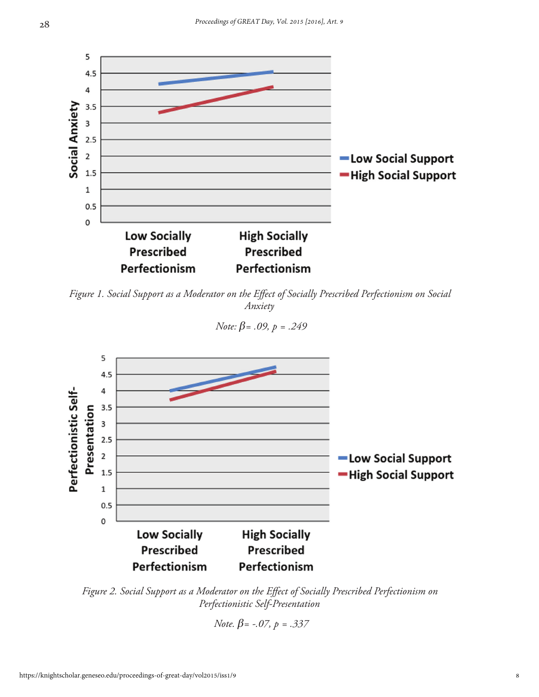

*Figure 1. Social Support as a Moderator on the Effect of Socially Prescribed Perfectionism on Social Anxiety*

5 4.5 4  $3.5$ Presentation 3  $2.5$  $\overline{2}$ -Low Social Support 1.5 -High Social Support  $\mathbf 1$ 

 *Note: β= .09, p = .249*



**High Socially** 

**Prescribed** 

Perfectionism

 *Note. β= -.07, p = .337*

Perfectionistic Self-

 $0.5$  $\mathbf 0$ 

**Low Socially** 

**Prescribed** 

Perfectionism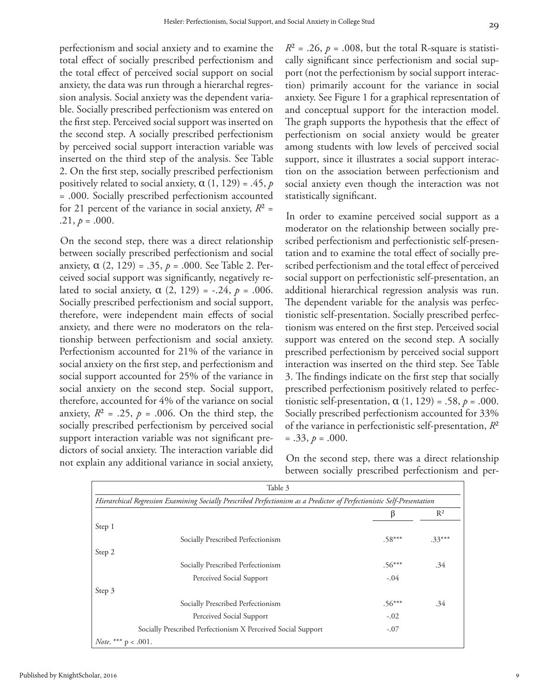perfectionism and social anxiety and to examine the total effect of socially prescribed perfectionism and the total effect of perceived social support on social anxiety, the data was run through a hierarchal regression analysis. Social anxiety was the dependent variable. Socially prescribed perfectionism was entered on the first step. Perceived social support was inserted on the second step. A socially prescribed perfectionism by perceived social support interaction variable was inserted on the third step of the analysis. See Table 2. On the first step, socially prescribed perfectionism positively related to social anxiety,  $\alpha$  (1, 129) = .45,  $p$ = .000. Socially prescribed perfectionism accounted for 21 percent of the variance in social anxiety,  $R^2$  = .21,  $p = .000$ .

On the second step, there was a direct relationship between socially prescribed perfectionism and social anxiety, α (2, 129) = .35, *p* = .000. See Table 2. Perceived social support was significantly, negatively related to social anxiety,  $\alpha$  (2, 129) = -.24,  $p$  = .006. Socially prescribed perfectionism and social support, therefore, were independent main effects of social anxiety, and there were no moderators on the relationship between perfectionism and social anxiety. Perfectionism accounted for 21% of the variance in social anxiety on the first step, and perfectionism and social support accounted for 25% of the variance in social anxiety on the second step. Social support, therefore, accounted for 4% of the variance on social anxiety,  $R^2 = .25$ ,  $p = .006$ . On the third step, the socially prescribed perfectionism by perceived social support interaction variable was not significant predictors of social anxiety. The interaction variable did not explain any additional variance in social anxiety,  $R^2$  = .26,  $p$  = .008, but the total R-square is statistically significant since perfectionism and social support (not the perfectionism by social support interaction) primarily account for the variance in social anxiety. See Figure 1 for a graphical representation of and conceptual support for the interaction model. The graph supports the hypothesis that the effect of perfectionism on social anxiety would be greater among students with low levels of perceived social support, since it illustrates a social support interaction on the association between perfectionism and social anxiety even though the interaction was not statistically significant.

In order to examine perceived social support as a moderator on the relationship between socially prescribed perfectionism and perfectionistic self-presentation and to examine the total effect of socially prescribed perfectionism and the total effect of perceived social support on perfectionistic self-presentation, an additional hierarchical regression analysis was run. The dependent variable for the analysis was perfectionistic self-presentation. Socially prescribed perfectionism was entered on the first step. Perceived social support was entered on the second step. A socially prescribed perfectionism by perceived social support interaction was inserted on the third step. See Table 3. The findings indicate on the first step that socially prescribed perfectionism positively related to perfectionistic self-presentation,  $\alpha$  (1, 129) = .58,  $p = .000$ . Socially prescribed perfectionism accounted for 33% of the variance in perfectionistic self-presentation, *R*²  $= .33, p = .000.$ 

On the second step, there was a direct relationship between socially prescribed perfectionism and per-

| Table 3                                                                                                                 |          |          |  |  |  |  |  |
|-------------------------------------------------------------------------------------------------------------------------|----------|----------|--|--|--|--|--|
| Hierarchical Regression Examining Socially Prescribed Perfectionism as a Predictor of Perfectionistic Self-Presentation |          |          |  |  |  |  |  |
|                                                                                                                         | ß        | $R^2$    |  |  |  |  |  |
| Step 1                                                                                                                  |          |          |  |  |  |  |  |
| Socially Prescribed Perfectionism                                                                                       | $.58***$ | $.33***$ |  |  |  |  |  |
| Step 2                                                                                                                  |          |          |  |  |  |  |  |
| Socially Prescribed Perfectionism                                                                                       | $.56***$ | .34      |  |  |  |  |  |
| Perceived Social Support                                                                                                | $-.04$   |          |  |  |  |  |  |
| Step 3                                                                                                                  |          |          |  |  |  |  |  |
| Socially Prescribed Perfectionism                                                                                       | $.56***$ | .34      |  |  |  |  |  |
| Perceived Social Support                                                                                                | $-.02$   |          |  |  |  |  |  |
| Socially Prescribed Perfectionism X Perceived Social Support                                                            | $-.07$   |          |  |  |  |  |  |
| <i>Note</i> . *** $p < .001$ .                                                                                          |          |          |  |  |  |  |  |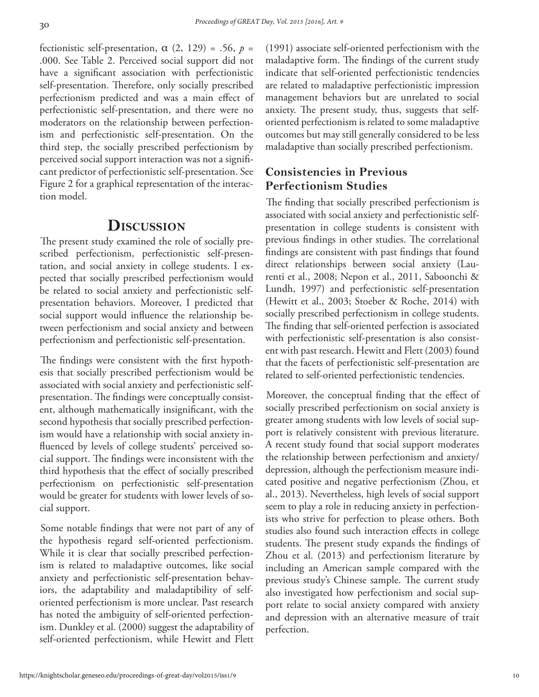*Proceedings of GREAT Day, Vol. 2015 [2016], Art. 9*

30

fectionistic self-presentation,  $\alpha$  (2, 129) = .56,  $p =$ .000. See Table 2. Perceived social support did not have a significant association with perfectionistic self-presentation. Therefore, only socially prescribed perfectionism predicted and was a main effect of perfectionistic self-presentation, and there were no moderators on the relationship between perfectionism and perfectionistic self-presentation. On the third step, the socially prescribed perfectionism by perceived social support interaction was not a significant predictor of perfectionistic self-presentation. See Figure 2 for a graphical representation of the interaction model.

#### **Discussion**

The present study examined the role of socially prescribed perfectionism, perfectionistic self-presentation, and social anxiety in college students. I expected that socially prescribed perfectionism would be related to social anxiety and perfectionistic selfpresentation behaviors. Moreover, I predicted that social support would influence the relationship between perfectionism and social anxiety and between perfectionism and perfectionistic self-presentation.

The findings were consistent with the first hypothesis that socially prescribed perfectionism would be associated with social anxiety and perfectionistic selfpresentation. The findings were conceptually consistent, although mathematically insignificant, with the second hypothesis that socially prescribed perfectionism would have a relationship with social anxiety influenced by levels of college students' perceived social support. The findings were inconsistent with the third hypothesis that the effect of socially prescribed perfectionism on perfectionistic self-presentation would be greater for students with lower levels of social support.

Some notable findings that were not part of any of the hypothesis regard self-oriented perfectionism. While it is clear that socially prescribed perfectionism is related to maladaptive outcomes, like social anxiety and perfectionistic self-presentation behaviors, the adaptability and maladaptibility of selforiented perfectionism is more unclear. Past research has noted the ambiguity of self-oriented perfectionism. Dunkley et al. (2000) suggest the adaptability of self-oriented perfectionism, while Hewitt and Flett (1991) associate self-oriented perfectionism with the maladaptive form. The findings of the current study indicate that self-oriented perfectionistic tendencies are related to maladaptive perfectionistic impression management behaviors but are unrelated to social anxiety. The present study, thus, suggests that selforiented perfectionism is related to some maladaptive outcomes but may still generally considered to be less maladaptive than socially prescribed perfectionism.

#### **Consistencies in Previous Perfectionism Studies**

The finding that socially prescribed perfectionism is associated with social anxiety and perfectionistic selfpresentation in college students is consistent with previous findings in other studies. The correlational findings are consistent with past findings that found direct relationships between social anxiety (Laurenti et al., 2008; Nepon et al., 2011, Saboonchi & Lundh, 1997) and perfectionistic self-presentation (Hewitt et al., 2003; Stoeber & Roche, 2014) with socially prescribed perfectionism in college students. The finding that self-oriented perfection is associated with perfectionistic self-presentation is also consistent with past research. Hewitt and Flett (2003) found that the facets of perfectionistic self-presentation are related to self-oriented perfectionistic tendencies.

Moreover, the conceptual finding that the effect of socially prescribed perfectionism on social anxiety is greater among students with low levels of social support is relatively consistent with previous literature. A recent study found that social support moderates the relationship between perfectionism and anxiety/ depression, although the perfectionism measure indicated positive and negative perfectionism (Zhou, et al., 2013). Nevertheless, high levels of social support seem to play a role in reducing anxiety in perfectionists who strive for perfection to please others. Both studies also found such interaction effects in college students. The present study expands the findings of Zhou et al. (2013) and perfectionism literature by including an American sample compared with the previous study's Chinese sample. The current study also investigated how perfectionism and social support relate to social anxiety compared with anxiety and depression with an alternative measure of trait perfection.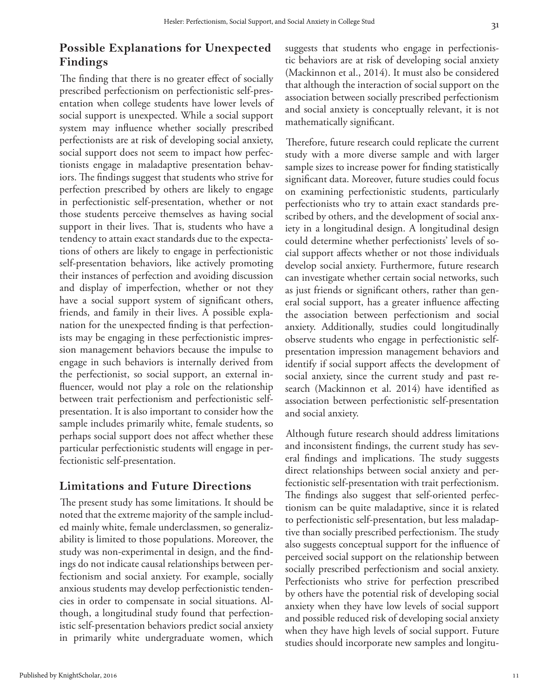#### **Possible Explanations for Unexpected Findings**

The finding that there is no greater effect of socially prescribed perfectionism on perfectionistic self-presentation when college students have lower levels of social support is unexpected. While a social support system may influence whether socially prescribed perfectionists are at risk of developing social anxiety, social support does not seem to impact how perfectionists engage in maladaptive presentation behaviors. The findings suggest that students who strive for perfection prescribed by others are likely to engage in perfectionistic self-presentation, whether or not those students perceive themselves as having social support in their lives. That is, students who have a tendency to attain exact standards due to the expectations of others are likely to engage in perfectionistic self-presentation behaviors, like actively promoting their instances of perfection and avoiding discussion and display of imperfection, whether or not they have a social support system of significant others, friends, and family in their lives. A possible explanation for the unexpected finding is that perfectionists may be engaging in these perfectionistic impression management behaviors because the impulse to engage in such behaviors is internally derived from the perfectionist, so social support, an external influencer, would not play a role on the relationship between trait perfectionism and perfectionistic selfpresentation. It is also important to consider how the sample includes primarily white, female students, so perhaps social support does not affect whether these particular perfectionistic students will engage in perfectionistic self-presentation.

#### **Limitations and Future Directions**

The present study has some limitations. It should be noted that the extreme majority of the sample included mainly white, female underclassmen, so generalizability is limited to those populations. Moreover, the study was non-experimental in design, and the findings do not indicate causal relationships between perfectionism and social anxiety. For example, socially anxious students may develop perfectionistic tendencies in order to compensate in social situations. Although, a longitudinal study found that perfectionistic self-presentation behaviors predict social anxiety in primarily white undergraduate women, which suggests that students who engage in perfectionistic behaviors are at risk of developing social anxiety (Mackinnon et al., 2014). It must also be considered that although the interaction of social support on the association between socially prescribed perfectionism and social anxiety is conceptually relevant, it is not mathematically significant.

Therefore, future research could replicate the current study with a more diverse sample and with larger sample sizes to increase power for finding statistically significant data. Moreover, future studies could focus on examining perfectionistic students, particularly perfectionists who try to attain exact standards prescribed by others, and the development of social anxiety in a longitudinal design. A longitudinal design could determine whether perfectionists' levels of social support affects whether or not those individuals develop social anxiety. Furthermore, future research can investigate whether certain social networks, such as just friends or significant others, rather than general social support, has a greater influence affecting the association between perfectionism and social anxiety. Additionally, studies could longitudinally observe students who engage in perfectionistic selfpresentation impression management behaviors and identify if social support affects the development of social anxiety, since the current study and past research (Mackinnon et al. 2014) have identified as association between perfectionistic self-presentation and social anxiety.

Although future research should address limitations and inconsistent findings, the current study has several findings and implications. The study suggests direct relationships between social anxiety and perfectionistic self-presentation with trait perfectionism. The findings also suggest that self-oriented perfectionism can be quite maladaptive, since it is related to perfectionistic self-presentation, but less maladaptive than socially prescribed perfectionism. The study also suggests conceptual support for the influence of perceived social support on the relationship between socially prescribed perfectionism and social anxiety. Perfectionists who strive for perfection prescribed by others have the potential risk of developing social anxiety when they have low levels of social support and possible reduced risk of developing social anxiety when they have high levels of social support. Future studies should incorporate new samples and longitu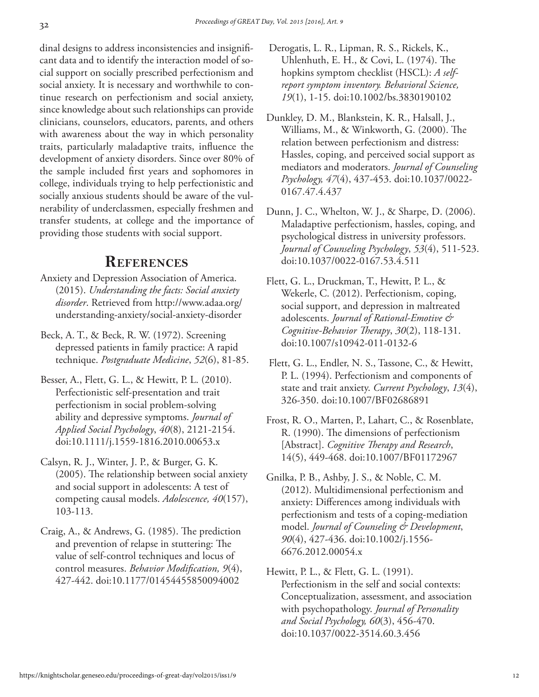dinal designs to address inconsistencies and insignificant data and to identify the interaction model of social support on socially prescribed perfectionism and social anxiety. It is necessary and worthwhile to continue research on perfectionism and social anxiety, since knowledge about such relationships can provide clinicians, counselors, educators, parents, and others with awareness about the way in which personality traits, particularly maladaptive traits, influence the development of anxiety disorders. Since over 80% of the sample included first years and sophomores in college, individuals trying to help perfectionistic and socially anxious students should be aware of the vulnerability of underclassmen, especially freshmen and transfer students, at college and the importance of providing those students with social support.

#### **References**

- Anxiety and Depression Association of America. (2015). *Understanding the facts: Social anxiety disorder*. Retrieved from http://www.adaa.org/ understanding-anxiety/social-anxiety-disorder
- Beck, A. T., & Beck, R. W. (1972). Screening depressed patients in family practice: A rapid technique. *Postgraduate Medicine*, *52*(6), 81-85.
- Besser, A., Flett, G. L., & Hewitt, P. L. (2010). Perfectionistic self-presentation and trait perfectionism in social problem-solving ability and depressive symptoms. *Journal of Applied Social Psychology*, *40*(8), 2121-2154. doi:10.1111/j.1559-1816.2010.00653.x
- Calsyn, R. J., Winter, J. P., & Burger, G. K. (2005). The relationship between social anxiety and social support in adolescents: A test of competing causal models. *Adolescence, 40*(157), 103-113.
- Craig, A., & Andrews, G. (1985). The prediction and prevention of relapse in stuttering: The value of self-control techniques and locus of control measures. *Behavior Modification, 9*(4), 427-442. doi:10.1177/01454455850094002
- Derogatis, L. R., Lipman, R. S., Rickels, K., Uhlenhuth, E. H., & Covi, L. (1974). The hopkins symptom checklist (HSCL): *A selfreport symptom inventory. Behavioral Science, 19*(1), 1-15. doi:10.1002/bs.3830190102
- Dunkley, D. M., Blankstein, K. R., Halsall, J., Williams, M., & Winkworth, G. (2000). The relation between perfectionism and distress: Hassles, coping, and perceived social support as mediators and moderators. *Journal of Counseling Psychology, 47*(4), 437-453. doi:10.1037/0022- 0167.47.4.437
- Dunn, J. C., Whelton, W. J., & Sharpe, D. (2006). Maladaptive perfectionism, hassles, coping, and psychological distress in university professors. *Journal of Counseling Psychology*, *53*(4), 511-523. doi:10.1037/0022-0167.53.4.511
- Flett, G. L., Druckman, T., Hewitt, P. L., & Wekerle, C. (2012). Perfectionism, coping, social support, and depression in maltreated adolescents. *Journal of Rational-Emotive & Cognitive-Behavior Therapy*, *30*(2), 118-131. doi:10.1007/s10942-011-0132-6
- Flett, G. L., Endler, N. S., Tassone, C., & Hewitt, P. L. (1994). Perfectionism and components of state and trait anxiety. *Current Psychology*, *13*(4), 326-350. doi:10.1007/BF02686891
- Frost, R. O., Marten, P., Lahart, C., & Rosenblate, R. (1990). The dimensions of perfectionism [Abstract]. *Cognitive Therapy and Research*, 14(5), 449-468. doi:10.1007/BF01172967
- Gnilka, P. B., Ashby, J. S., & Noble, C. M. (2012). Multidimensional perfectionism and anxiety: Differences among individuals with perfectionism and tests of a coping‐mediation model. *Journal of Counseling & Development*, *90*(4), 427-436. doi:10.1002/j.1556- 6676.2012.00054.x
- Hewitt, P. L., & Flett, G. L. (1991). Perfectionism in the self and social contexts: Conceptualization, assessment, and association with psychopathology. *Journal of Personality and Social Psychology, 60*(3), 456-470. doi:10.1037/0022-3514.60.3.456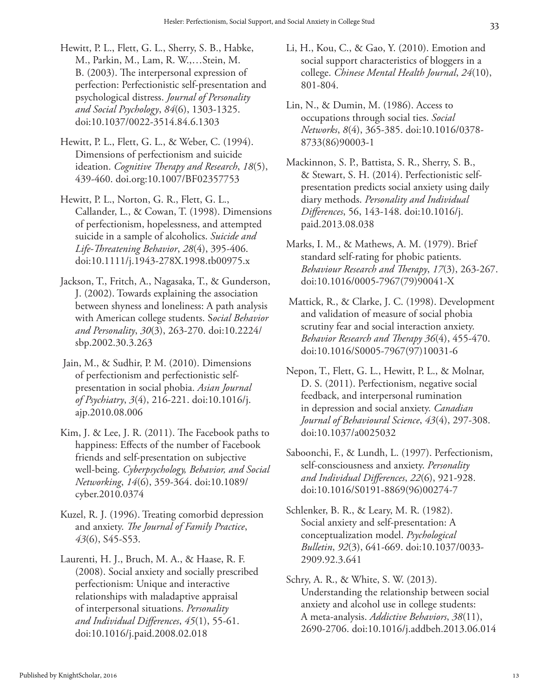- Hewitt, P. L., Flett, G. L., Sherry, S. B., Habke, M., Parkin, M., Lam, R. W.,…Stein, M. B. (2003). The interpersonal expression of perfection: Perfectionistic self-presentation and psychological distress. *Journal of Personality and Social Psychology*, *84*(6), 1303-1325. doi:10.1037/0022-3514.84.6.1303
- Hewitt, P. L., Flett, G. L., & Weber, C. (1994). Dimensions of perfectionism and suicide ideation. *Cognitive Therapy and Research*, *18*(5), 439-460. doi.org:10.1007/BF02357753
- Hewitt, P. L., Norton, G. R., Flett, G. L., Callander, L., & Cowan, T. (1998). Dimensions of perfectionism, hopelessness, and attempted suicide in a sample of alcoholics. *Suicide and Life-Threatening Behavior*, *28*(4), 395-406. doi:10.1111/j.1943-278X.1998.tb00975.x
- Jackson, T., Fritch, A., Nagasaka, T., & Gunderson, J. (2002). Towards explaining the association between shyness and loneliness: A path analysis with American college students. S*ocial Behavior and Personality*, *30*(3), 263-270. doi:10.2224/ sbp.2002.30.3.263
- Jain, M., & Sudhir, P. M. (2010). Dimensions of perfectionism and perfectionistic selfpresentation in social phobia. *Asian Journal of Psychiatry*, *3*(4), 216-221. doi:10.1016/j. ajp.2010.08.006
- Kim, J. & Lee, J. R. (2011). The Facebook paths to happiness: Effects of the number of Facebook friends and self-presentation on subjective well-being. *Cyberpsychology, Behavior, and Social Networking*, *14*(6), 359-364. doi:10.1089/ cyber.2010.0374
- Kuzel, R. J. (1996). Treating comorbid depression and anxiety. *The Journal of Family Practice*, *43*(6), S45-S53.
- Laurenti, H. J., Bruch, M. A., & Haase, R. F. (2008). Social anxiety and socially prescribed perfectionism: Unique and interactive relationships with maladaptive appraisal of interpersonal situations. *Personality and Individual Differences*, *45*(1), 55-61. doi:10.1016/j.paid.2008.02.018
- Li, H., Kou, C., & Gao, Y. (2010). Emotion and social support characteristics of bloggers in a college. *Chinese Mental Health Journal*, *24*(10), 801-804.
- Lin, N., & Dumin, M. (1986). Access to occupations through social ties. *Social Networks*, *8*(4), 365-385. doi:10.1016/0378- 8733(86)90003-1
- Mackinnon, S. P., Battista, S. R., Sherry, S. B., & Stewart, S. H. (2014). Perfectionistic selfpresentation predicts social anxiety using daily diary methods. *Personality and Individual Differences*, 56, 143-148. doi:10.1016/j. paid.2013.08.038
- Marks, I. M., & Mathews, A. M. (1979). Brief standard self-rating for phobic patients. *Behaviour Research and Therapy*, *17*(3), 263-267. doi:10.1016/0005-7967(79)90041-X
- Mattick, R., & Clarke, J. C. (1998). Development and validation of measure of social phobia scrutiny fear and social interaction anxiety. *Behavior Research and Therapy 36*(4), 455-470. doi:10.1016/S0005-7967(97)10031-6
- Nepon, T., Flett, G. L., Hewitt, P. L., & Molnar, D. S. (2011). Perfectionism, negative social feedback, and interpersonal rumination in depression and social anxiety. *Canadian Journal of Behavioural Science*, *43*(4), 297-308. doi:10.1037/a0025032
- Saboonchi, F., & Lundh, L. (1997). Perfectionism, self-consciousness and anxiety. *Personality and Individual Differences*, *22*(6), 921-928. doi:10.1016/S0191-8869(96)00274-7
- Schlenker, B. R., & Leary, M. R. (1982). Social anxiety and self-presentation: A conceptualization model. *Psychological Bulletin*, *92*(3), 641-669. doi:10.1037/0033- 2909.92.3.641
- Schry, A. R., & White, S. W. (2013). Understanding the relationship between social anxiety and alcohol use in college students: A meta-analysis. *Addictive Behaviors*, *38*(11), 2690-2706. doi:10.1016/j.addbeh.2013.06.014